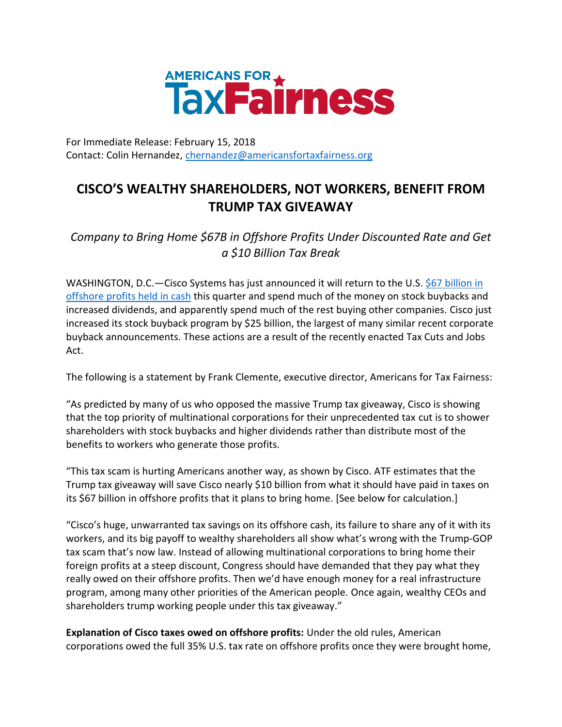

For Immediate Release: February 15, 2018 Contact: Colin Hernandez, [chernandez@americansfortaxfairness.org](mailto:chernandez@americansfortaxfairness.org)

## **CISCO'S WEALTHY SHAREHOLDERS, NOT WORKERS, BENEFIT FROM TRUMP TAX GIVEAWAY**

*Company to Bring Home \$67B in Offshore Profits Under Discounted Rate and Get a \$10 Billion Tax Break* 

WASHINGTON, D.C.—Cisco Systems has just announced it will return to the U.S. \$67 billion in [offshore profits held in cash](https://www.wsj.com/articles/cisco-returns-to-growth-after-two-year-sales-slump-1518645580) this quarter and spend much of the money on stock buybacks and increased dividends, and apparently spend much of the rest buying other companies. Cisco just increased its stock buyback program by \$25 billion, the largest of many similar recent corporate buyback announcements. These actions are a result of the recently enacted Tax Cuts and Jobs Act.

The following is a statement by Frank Clemente, executive director, Americans for Tax Fairness:

"As predicted by many of us who opposed the massive Trump tax giveaway, Cisco is showing that the top priority of multinational corporations for their unprecedented tax cut is to shower shareholders with stock buybacks and higher dividends rather than distribute most of the benefits to workers who generate those profits.

"This tax scam is hurting Americans another way, as shown by Cisco. ATF estimates that the Trump tax giveaway will save Cisco nearly \$10 billion from what it should have paid in taxes on its \$67 billion in offshore profits that it plans to bring home. [See below for calculation.]

"Cisco's huge, unwarranted tax savings on its offshore cash, its failure to share any of it with its workers, and its big payoff to wealthy shareholders all show what's wrong with the Trump-GOP tax scam that's now law. Instead of allowing multinational corporations to bring home their foreign profits at a steep discount, Congress should have demanded that they pay what they really owed on their offshore profits. Then we'd have enough money for a real infrastructure program, among many other priorities of the American people. Once again, wealthy CEOs and shareholders trump working people under this tax giveaway."

**Explanation of Cisco taxes owed on offshore profits:** Under the old rules, American corporations owed the full 35% U.S. tax rate on offshore profits once they were brought home,